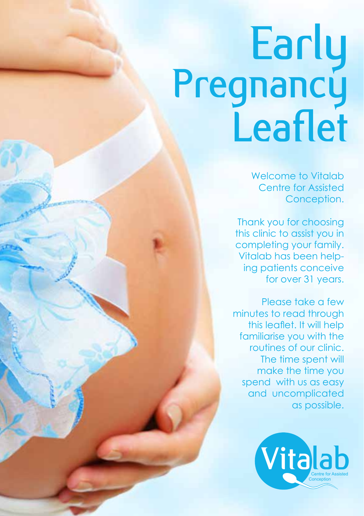## Early<br>Pregnancy Leaflet

Welcome to Vitalab Centre for Assisted Conception.

Thank you for choosing this clinic to assist you in completing your family. Vitalab has been helping patients conceive for over 31 years.

Please take a few minutes to read through this leaflet. It will help familiarise you with the routines of our clinic. The time spent will make the time you spend with us as easy and uncomplicated as possible.

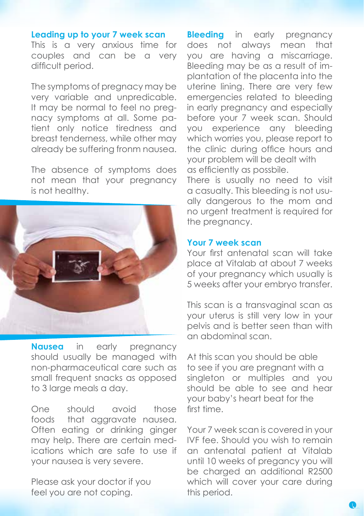## **Leading up to your 7 week scan**

This is a very anxious time for couples and can be a very difficult period.

The symptoms of pregnacy may be very variable and unpredicable. It may be normal to feel no pregnacy symptoms at all. Some patient only notice tiredness and breast tenderness, while other may already be suffering fronm nausea.

The absence of symptoms does not mean that your pregnancy is not healthy.



**Nausea** in early pregnancy should usually be managed with non-pharmaceutical care such as small frequent snacks as opposed to 3 large meals a day.

One should avoid those foods that aggravate nausea. Often eating or drinking ginger may help. There are certain medications which are safe to use if your nausea is very severe.

Please ask your doctor if you feel you are not coping.

**Bleeding** in early pregnancy does not always mean that you are having a miscarriage. Bleeding may be as a result of implantation of the placenta into the uterine lining. There are very few emergencies related to bleeding in early pregnancy and especially before your 7 week scan. Should you experience any bleeding which worries you, please report to the clinic during office hours and your problem will be dealt with as efficiently as possbile.

There is usually no need to visit a casualty. This bleeding is not usually dangerous to the mom and no urgent treatment is required for the pregnancy.

## **Your 7 week scan**

Your first antenatal scan will take place at Vitalab at about 7 weeks of your pregnancy which usually is 5 weeks after your embryo transfer.

This scan is a transvaginal scan as your uterus is still very low in your pelvis and is better seen than with an abdominal scan.

At this scan you should be able to see if you are pregnant with a singleton or multiples and you should be able to see and hear your baby's heart beat for the first time.

Your 7 week scan is covered in your IVF fee. Should you wish to remain an antenatal patient at Vitalab until 10 weeks of pregancy you will be charged an additional R2500 which will cover your care during this period.